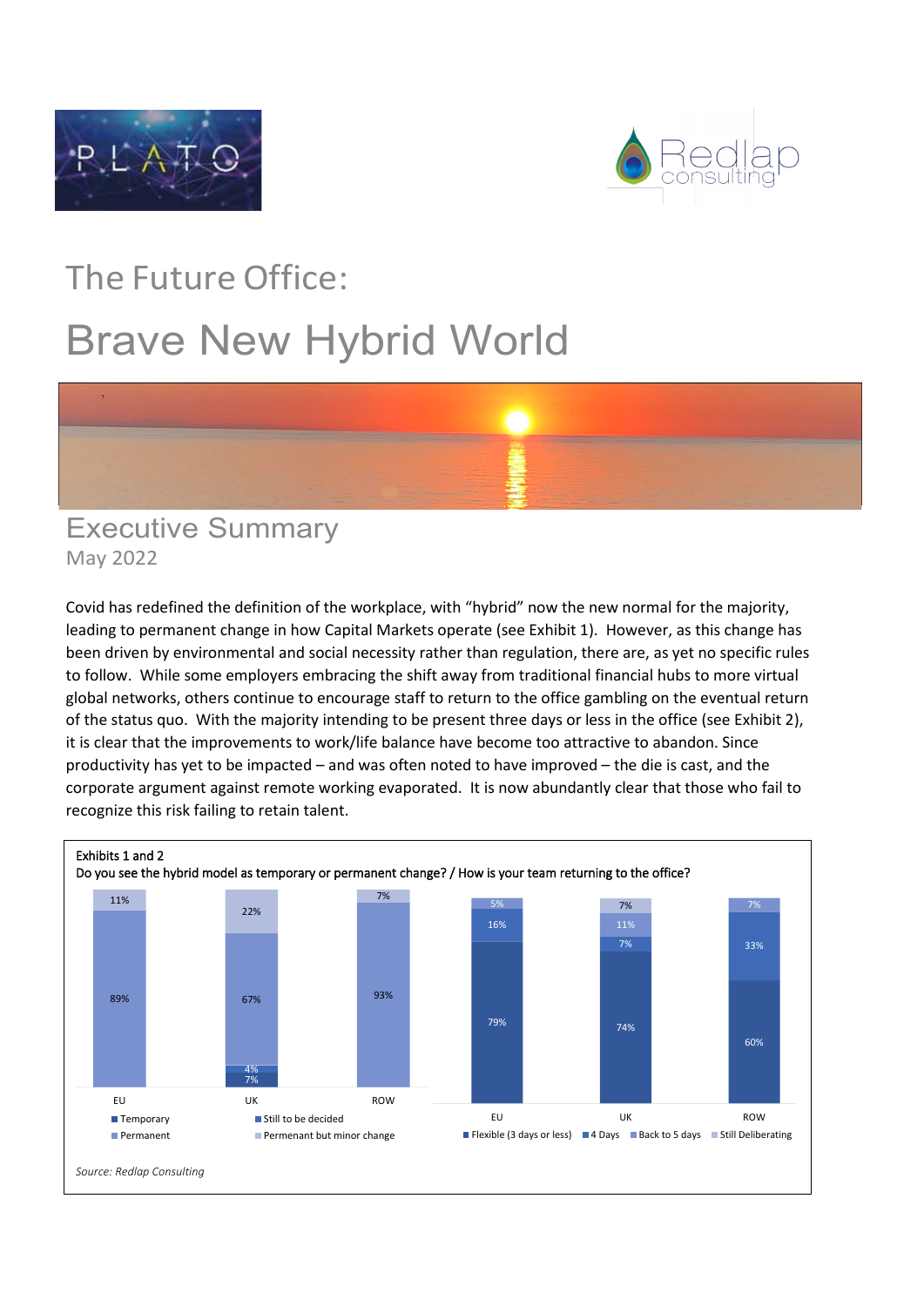



## The Future Office: Brave New Hybrid World



## Executive Summary May 2022

Covid has redefined the definition of the workplace, with "hybrid" now the new normal for the majority, leading to permanent change in how Capital Markets operate (see Exhibit 1). However, as this change has been driven by environmental and social necessity rather than regulation, there are, as yet no specific rules to follow. While some employers embracing the shift away from traditional financial hubs to more virtual global networks, others continue to encourage staff to return to the office gambling on the eventual return of the status quo. With the majority intending to be present three days or less in the office (see Exhibit 2), it is clear that the improvements to work/life balance have become too attractive to abandon. Since productivity has yet to be impacted – and was often noted to have improved – the die is cast, and the corporate argument against remote working evaporated. It is now abundantly clear that those who fail to recognize this risk failing to retain talent.

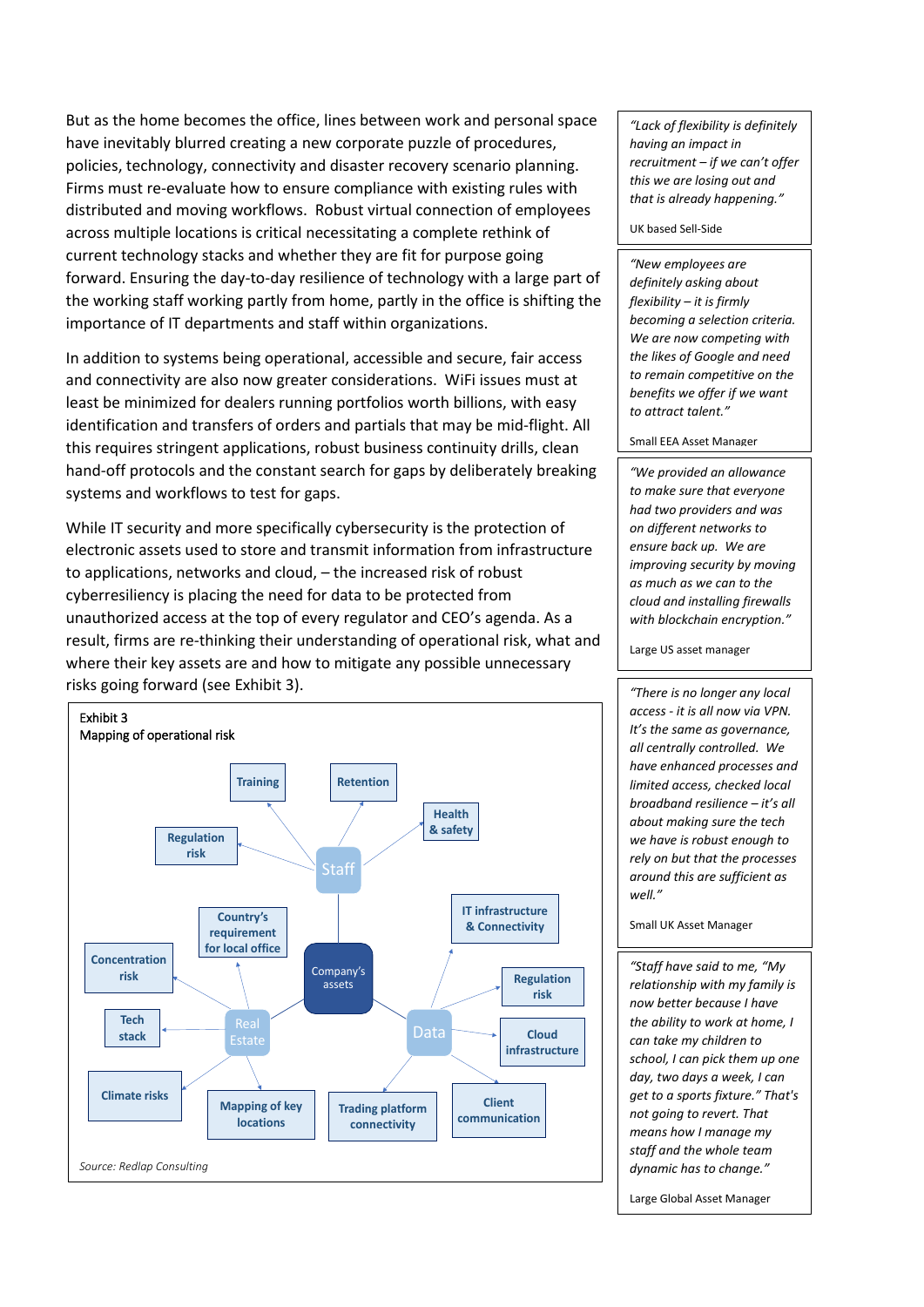But as the home becomes the office, lines between work and personal space have inevitably blurred creating a new corporate puzzle of procedures, policies, technology, connectivity and disaster recovery scenario planning. Firms must re-evaluate how to ensure compliance with existing rules with distributed and moving workflows. Robust virtual connection of employees across multiple locations is critical necessitating a complete rethink of current technology stacks and whether they are fit for purpose going forward. Ensuring the day-to-day resilience of technology with a large part of the working staff working partly from home, partly in the office is shifting the importance of IT departments and staff within organizations.

In addition to systems being operational, accessible and secure, fair access and connectivity are also now greater considerations. WiFi issues must at least be minimized for dealers running portfolios worth billions, with easy identification and transfers of orders and partials that may be mid-flight. All this requires stringent applications, robust business continuity drills, clean hand-off protocols and the constant search for gaps by deliberately breaking systems and workflows to test for gaps.

While IT security and more specifically cybersecurity is the protection of electronic assets used to store and transmit information from infrastructure to applications, networks and cloud, – the increased risk of robust cyberresiliency is placing the need for data to be protected from unauthorized access at the top of every regulator and CEO's agenda. As a result, firms are re-thinking their understanding of operational risk, what and where their key assets are and how to mitigate any possible unnecessary risks going forward (see Exhibit 3).



*"Lack of flexibility is definitely having an impact in recruitment – if we can't offer this we are losing out and that is already happening."*

UK based Sell-Side

*"New employees are definitely asking about flexibility – it is firmly becoming a selection criteria. We are now competing with the likes of Google and need to remain competitive on the benefits we offer if we want to attract talent."* 

Small EEA Asset Manager

*"We provided an allowance to make sure that everyone had two providers and was on different networks to ensure back up. We are improving security by moving as much as we can to the cloud and installing firewalls with blockchain encryption."* 

Large US asset manager

*"There is no longer any local access - it is all now via VPN. It's the same as governance, all centrally controlled. We have enhanced processes and limited access, checked local broadband resilience – it's all about making sure the tech we have is robust enough to rely on but that the processes around this are sufficient as well."*

Small UK Asset Manager

*"Staff have said to me, "My relationship with my family is now better because I have the ability to work at home, I can take my children to school, I can pick them up one day, two days a week, I can get to a sports fixture." That's not going to revert. That means how I manage my staff and the whole team dynamic has to change."*

Large Global Asset Manager